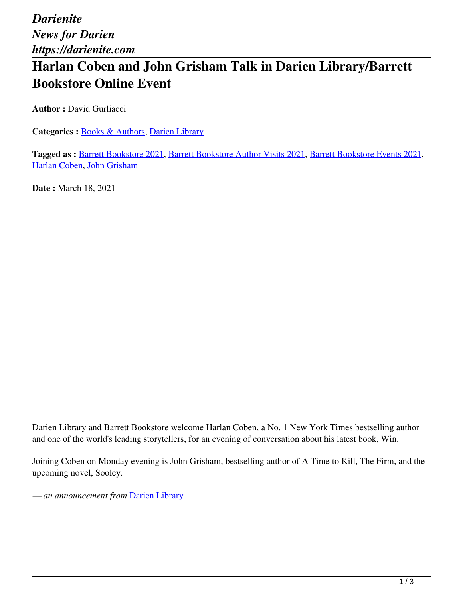*Darienite News for Darien https://darienite.com*

## **Harlan Coben and John Grisham Talk in Darien Library/Barrett Bookstore Online Event**

**Author :** David Gurliacci

**Categories :** [Books & Authors,](https://darienite.com/category/books-authors) Darien Library

**Tagged as :** Barrett Bookstore 2021, Barrett Bookstore Author Visits 2021, Barrett Bookstore Events 2021, Harlan Coben, John Grisham

**Date :** March 18, 2021

Darien Library and Barrett Bookstore welcome Harlan Coben, a No. 1 New York Times bestselling author and one of the world's leading storytellers, for an evening of conversation about his latest book, Win.

Joining Coben on Monday evening is John Grisham, bestselling author of A Time to Kill, The Firm, and the upcoming novel, Sooley.

*— an announcement from* Darien Library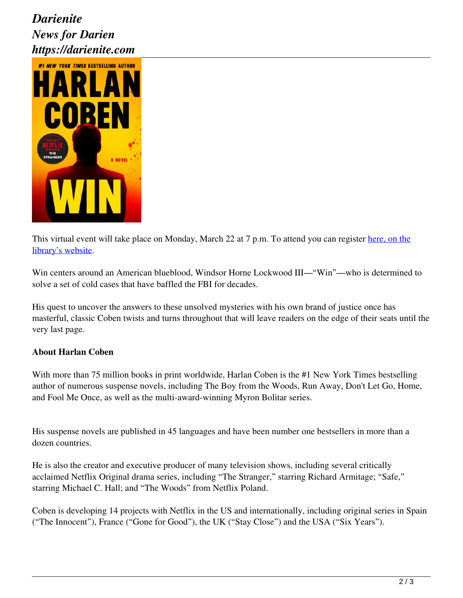## *Darienite News for Darien https://darienite.com*



This virtual event will take place on Monday, March 22 at 7 p.m. To attend you can register here, on the library's website.

Win centers around an American blueblood, Windsor Horne Lockwood III—"Win"—who is determined to solve a set of cold cases that have baffled the FBI for decades.

His quest to uncover the answers to these unsolved mysteries with his own brand of justice once has masterful, classic Coben twists and turns throughout that will leave readers on the edge of their seats until the very last page.

## **About Harlan Coben**

With more than 75 million books in print worldwide, Harlan Coben is the #1 New York Times bestselling author of numerous suspense novels, including The Boy from the Woods, Run Away, Don't Let Go, Home, and Fool Me Once, as well as the multi-award-winning Myron Bolitar series.

His suspense novels are published in 45 languages and have been number one bestsellers in more than a dozen countries.

He is also the creator and executive producer of many television shows, including several critically acclaimed Netflix Original drama series, including "The Stranger," starring Richard Armitage; "Safe," starring Michael C. Hall; and "The Woods" from Netflix Poland.

Coben is developing 14 projects with Netflix in the US and internationally, including original series in Spain ("The Innocent"), France ("Gone for Good"), the UK ("Stay Close") and the USA ("Six Years").